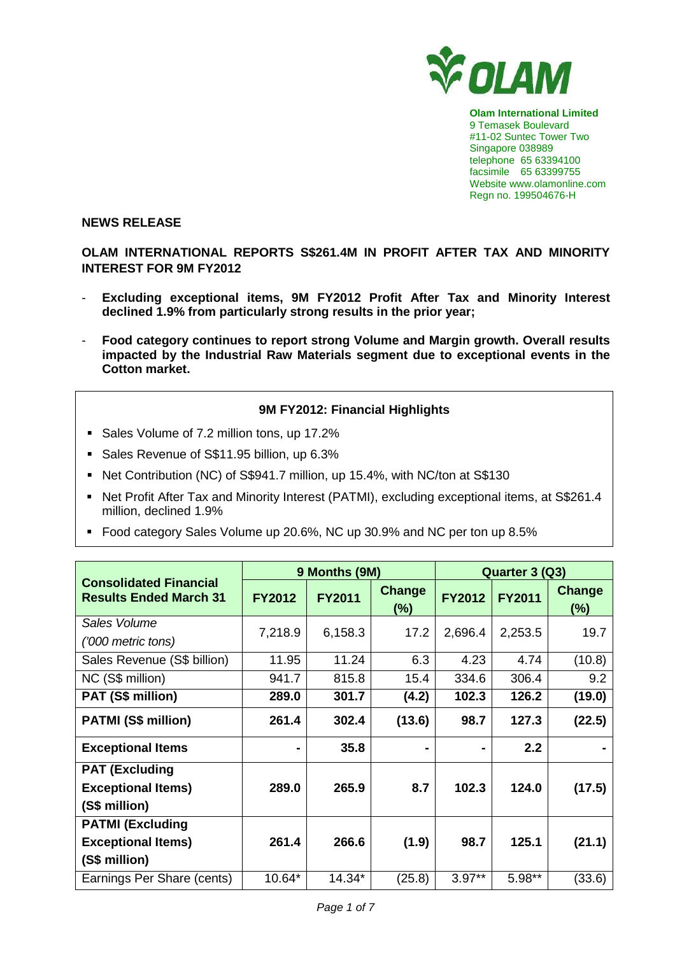

**Olam International Limited**  9 Temasek Boulevard #11-02 Suntec Tower Two Singapore 038989 telephone 65 63394100 facsimile 65 63399755 Website www.olamonline.com Regn no. 199504676-H

## **NEWS RELEASE**

**OLAM INTERNATIONAL REPORTS S\$261.4M IN PROFIT AFTER TAX AND MINORITY INTEREST FOR 9M FY2012** 

- **Excluding exceptional items, 9M FY2012 Profit After Tax and Minority Interest declined 1.9% from particularly strong results in the prior year;**
- **Food category continues to report strong Volume and Margin growth. Overall results impacted by the Industrial Raw Materials segment due to exceptional events in the Cotton market.**

## **9M FY2012: Financial Highlights**

- Sales Volume of 7.2 million tons, up 17.2%
- Sales Revenue of S\$11.95 billion, up 6.3%
- Net Contribution (NC) of S\$941.7 million, up 15.4%, with NC/ton at S\$130
- Net Profit After Tax and Minority Interest (PATMI), excluding exceptional items, at S\$261.4 million, declined 1.9%
- Food category Sales Volume up 20.6%, NC up 30.9% and NC per ton up 8.5%

|                                                                |               | 9 Months (9M) |                      | Quarter 3 (Q3) |               |                         |
|----------------------------------------------------------------|---------------|---------------|----------------------|----------------|---------------|-------------------------|
| <b>Consolidated Financial</b><br><b>Results Ended March 31</b> | <b>FY2012</b> | <b>FY2011</b> | <b>Change</b><br>(%) | <b>FY2012</b>  | <b>FY2011</b> | <b>Change</b><br>$(\%)$ |
| Sales Volume                                                   | 7,218.9       | 6,158.3       | 17.2                 | 2,696.4        | 2,253.5       | 19.7                    |
| ('000 metric tons)                                             |               |               |                      |                |               |                         |
| Sales Revenue (S\$ billion)                                    | 11.95         | 11.24         | 6.3                  | 4.23           | 4.74          | (10.8)                  |
| NC (S\$ million)                                               | 941.7         | 815.8         | 15.4                 | 334.6          | 306.4         | 9.2                     |
| PAT (S\$ million)                                              | 289.0         | 301.7         | (4.2)                | 102.3          | 126.2         | (19.0)                  |
| <b>PATMI (S\$ million)</b>                                     | 261.4         | 302.4         | (13.6)               | 98.7           | 127.3         | (22.5)                  |
| <b>Exceptional Items</b>                                       |               | 35.8          |                      |                | 2.2           |                         |
| <b>PAT (Excluding</b>                                          |               |               |                      |                |               |                         |
| <b>Exceptional Items)</b>                                      | 289.0         | 265.9         | 8.7                  | 102.3          | 124.0         | (17.5)                  |
| (S\$ million)                                                  |               |               |                      |                |               |                         |
| <b>PATMI (Excluding</b>                                        |               |               |                      |                |               |                         |
| <b>Exceptional Items)</b>                                      | 261.4         | 266.6         | (1.9)                | 98.7           | 125.1         | (21.1)                  |
| (S\$ million)                                                  |               |               |                      |                |               |                         |
| Earnings Per Share (cents)                                     | 10.64*        | 14.34*        | (25.8)               | $3.97**$       | 5.98**        | (33.6)                  |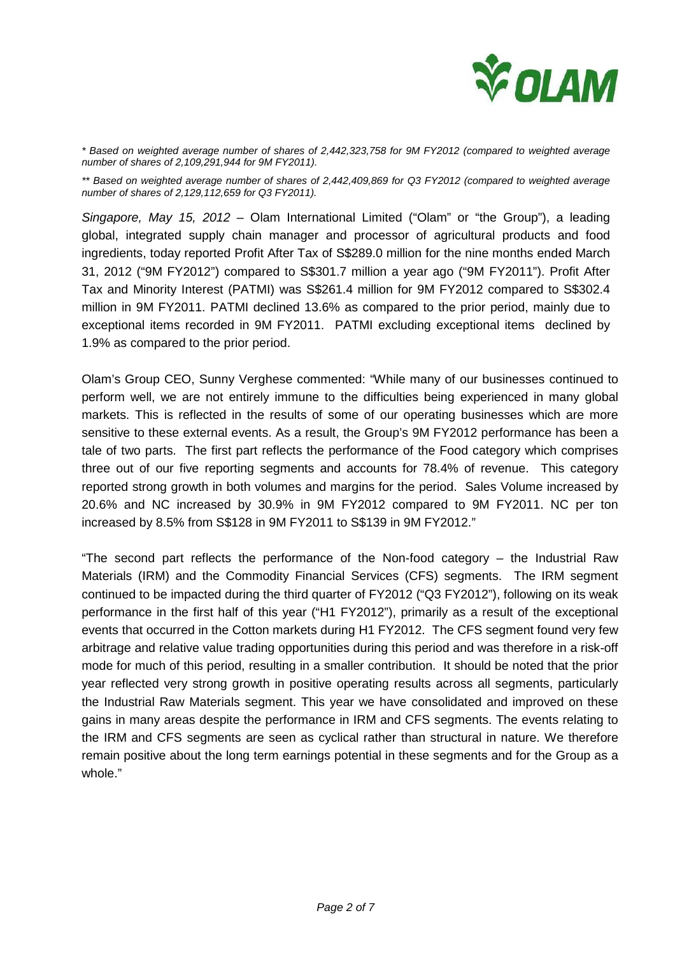

\* Based on weighted average number of shares of 2,442,323,758 for 9M FY2012 (compared to weighted average number of shares of 2,109,291,944 for 9M FY2011).

\*\* Based on weighted average number of shares of 2,442,409,869 for Q3 FY2012 (compared to weighted average number of shares of 2,129,112,659 for Q3 FY2011).

Singapore, May 15, 2012 – Olam International Limited ("Olam" or "the Group"), a leading global, integrated supply chain manager and processor of agricultural products and food ingredients, today reported Profit After Tax of S\$289.0 million for the nine months ended March 31, 2012 ("9M FY2012") compared to S\$301.7 million a year ago ("9M FY2011"). Profit After Tax and Minority Interest (PATMI) was S\$261.4 million for 9M FY2012 compared to S\$302.4 million in 9M FY2011. PATMI declined 13.6% as compared to the prior period, mainly due to exceptional items recorded in 9M FY2011. PATMI excluding exceptional items declined by 1.9% as compared to the prior period.

Olam's Group CEO, Sunny Verghese commented: "While many of our businesses continued to perform well, we are not entirely immune to the difficulties being experienced in many global markets. This is reflected in the results of some of our operating businesses which are more sensitive to these external events. As a result, the Group's 9M FY2012 performance has been a tale of two parts. The first part reflects the performance of the Food category which comprises three out of our five reporting segments and accounts for 78.4% of revenue. This category reported strong growth in both volumes and margins for the period. Sales Volume increased by 20.6% and NC increased by 30.9% in 9M FY2012 compared to 9M FY2011. NC per ton increased by 8.5% from S\$128 in 9M FY2011 to S\$139 in 9M FY2012."

"The second part reflects the performance of the Non-food category – the Industrial Raw Materials (IRM) and the Commodity Financial Services (CFS) segments. The IRM segment continued to be impacted during the third quarter of FY2012 ("Q3 FY2012"), following on its weak performance in the first half of this year ("H1 FY2012"), primarily as a result of the exceptional events that occurred in the Cotton markets during H1 FY2012. The CFS segment found very few arbitrage and relative value trading opportunities during this period and was therefore in a risk-off mode for much of this period, resulting in a smaller contribution. It should be noted that the prior year reflected very strong growth in positive operating results across all segments, particularly the Industrial Raw Materials segment. This year we have consolidated and improved on these gains in many areas despite the performance in IRM and CFS segments. The events relating to the IRM and CFS segments are seen as cyclical rather than structural in nature. We therefore remain positive about the long term earnings potential in these segments and for the Group as a whole."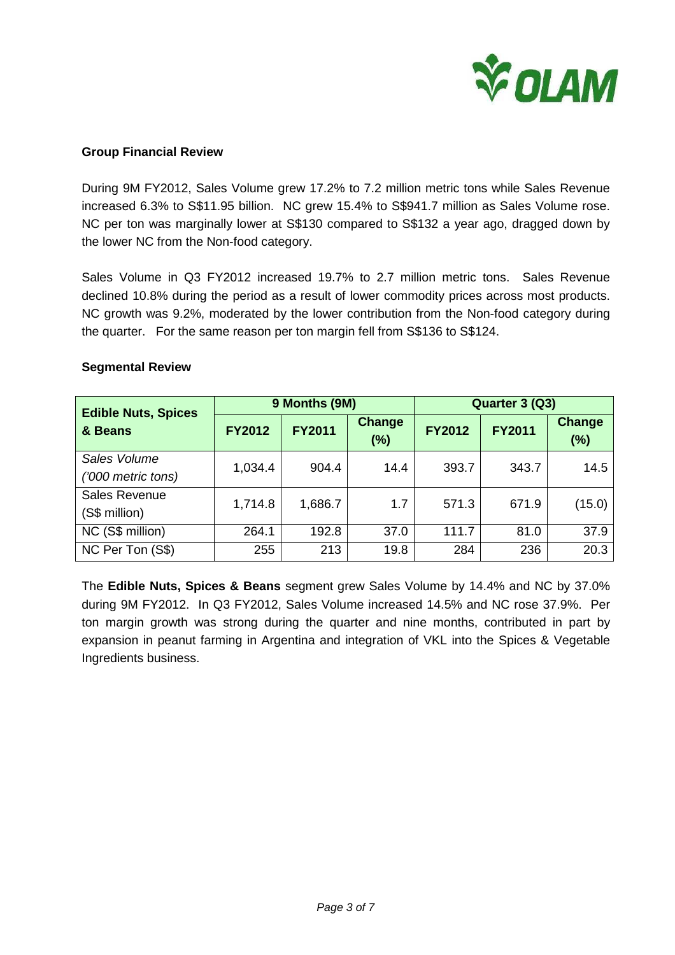

## **Group Financial Review**

During 9M FY2012, Sales Volume grew 17.2% to 7.2 million metric tons while Sales Revenue increased 6.3% to S\$11.95 billion. NC grew 15.4% to S\$941.7 million as Sales Volume rose. NC per ton was marginally lower at S\$130 compared to S\$132 a year ago, dragged down by the lower NC from the Non-food category.

Sales Volume in Q3 FY2012 increased 19.7% to 2.7 million metric tons. Sales Revenue declined 10.8% during the period as a result of lower commodity prices across most products. NC growth was 9.2%, moderated by the lower contribution from the Non-food category during the quarter. For the same reason per ton margin fell from S\$136 to S\$124.

| <b>Edible Nuts, Spices</b> |               | 9 Months (9M) |               | Quarter 3 (Q3) |               |                      |
|----------------------------|---------------|---------------|---------------|----------------|---------------|----------------------|
| & Beans                    | <b>FY2012</b> | <b>FY2011</b> | Change<br>(%) | <b>FY2012</b>  | <b>FY2011</b> | <b>Change</b><br>(%) |
| Sales Volume               | 1,034.4       | 904.4         | 14.4          | 393.7          | 343.7         | 14.5                 |
| ('000 metric tons)         |               |               |               |                |               |                      |
| Sales Revenue              | 1,714.8       | 1,686.7       | 1.7           | 571.3          | 671.9         | (15.0)               |
| (S\$ million)              |               |               |               |                |               |                      |
| NC (S\$ million)           | 264.1         | 192.8         | 37.0          | 111.7          | 81.0          | 37.9                 |
| NC Per Ton (S\$)           | 255           | 213           | 19.8          | 284            | 236           | 20.3                 |

#### **Segmental Review**

The **Edible Nuts, Spices & Beans** segment grew Sales Volume by 14.4% and NC by 37.0% during 9M FY2012. In Q3 FY2012, Sales Volume increased 14.5% and NC rose 37.9%. Per ton margin growth was strong during the quarter and nine months, contributed in part by expansion in peanut farming in Argentina and integration of VKL into the Spices & Vegetable Ingredients business.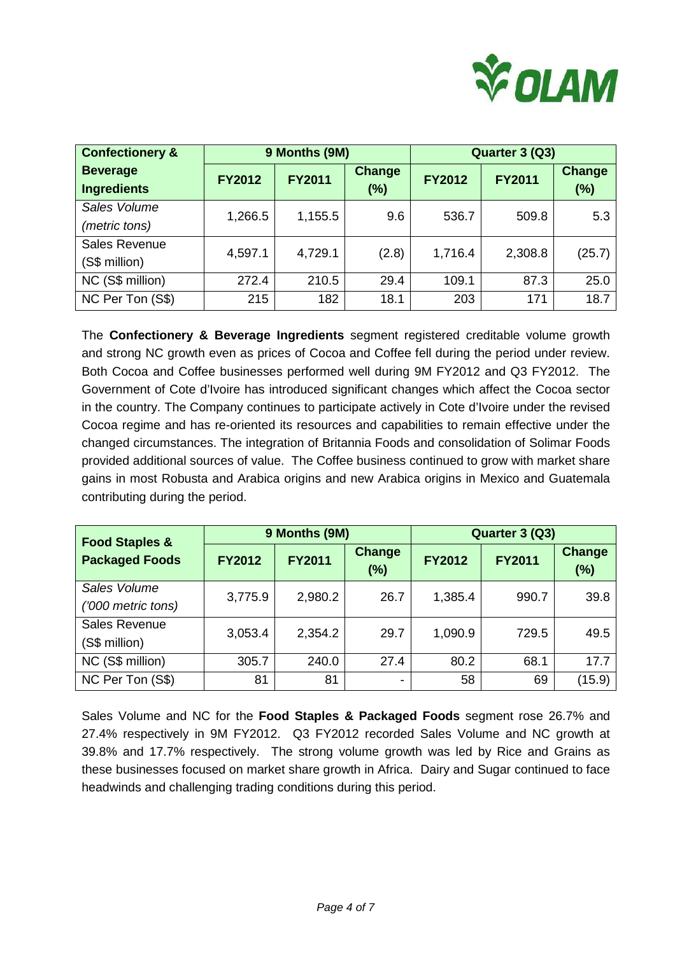

| <b>Confectionery &amp;</b>            | 9 Months (9M) |               |                         | Quarter 3 (Q3) |               |                      |
|---------------------------------------|---------------|---------------|-------------------------|----------------|---------------|----------------------|
| <b>Beverage</b><br><b>Ingredients</b> | <b>FY2012</b> | <b>FY2011</b> | <b>Change</b><br>$(\%)$ | <b>FY2012</b>  | <b>FY2011</b> | <b>Change</b><br>(%) |
| Sales Volume                          | 1,266.5       | 1,155.5       | 9.6                     | 536.7          | 509.8         | 5.3                  |
| (metric tons)                         |               |               |                         |                |               |                      |
| Sales Revenue                         | 4,597.1       | 4,729.1       | (2.8)                   | 1,716.4        | 2,308.8       | (25.7)               |
| (S\$ million)                         |               |               |                         |                |               |                      |
| NC (S\$ million)                      | 272.4         | 210.5         | 29.4                    | 109.1          | 87.3          | 25.0                 |
| NC Per Ton (S\$)                      | 215           | 182           | 18.1                    | 203            | 171           | 18.7                 |

The **Confectionery & Beverage Ingredients** segment registered creditable volume growth and strong NC growth even as prices of Cocoa and Coffee fell during the period under review. Both Cocoa and Coffee businesses performed well during 9M FY2012 and Q3 FY2012. The Government of Cote d'Ivoire has introduced significant changes which affect the Cocoa sector in the country. The Company continues to participate actively in Cote d'Ivoire under the revised Cocoa regime and has re-oriented its resources and capabilities to remain effective under the changed circumstances. The integration of Britannia Foods and consolidation of Solimar Foods provided additional sources of value. The Coffee business continued to grow with market share gains in most Robusta and Arabica origins and new Arabica origins in Mexico and Guatemala contributing during the period.

| <b>Food Staples &amp;</b> |               | 9 Months (9M) |                         | Quarter 3 (Q3) |               |                      |
|---------------------------|---------------|---------------|-------------------------|----------------|---------------|----------------------|
| <b>Packaged Foods</b>     | <b>FY2012</b> | <b>FY2011</b> | <b>Change</b><br>$(\%)$ | <b>FY2012</b>  | <b>FY2011</b> | <b>Change</b><br>(%) |
| Sales Volume              | 3,775.9       | 2,980.2       | 26.7                    | 1,385.4        | 990.7         | 39.8                 |
| ('000 metric tons)        |               |               |                         |                |               |                      |
| <b>Sales Revenue</b>      | 3,053.4       | 2,354.2       | 29.7                    | 1,090.9        | 729.5         | 49.5                 |
| (S\$ million)             |               |               |                         |                |               |                      |
| NC (S\$ million)          | 305.7         | 240.0         | 27.4                    | 80.2           | 68.1          | 17.7                 |
| NC Per Ton (S\$)          | 81            | 81            | ۰                       | 58             | 69            | (15.9)               |

Sales Volume and NC for the **Food Staples & Packaged Foods** segment rose 26.7% and 27.4% respectively in 9M FY2012. Q3 FY2012 recorded Sales Volume and NC growth at 39.8% and 17.7% respectively. The strong volume growth was led by Rice and Grains as these businesses focused on market share growth in Africa. Dairy and Sugar continued to face headwinds and challenging trading conditions during this period.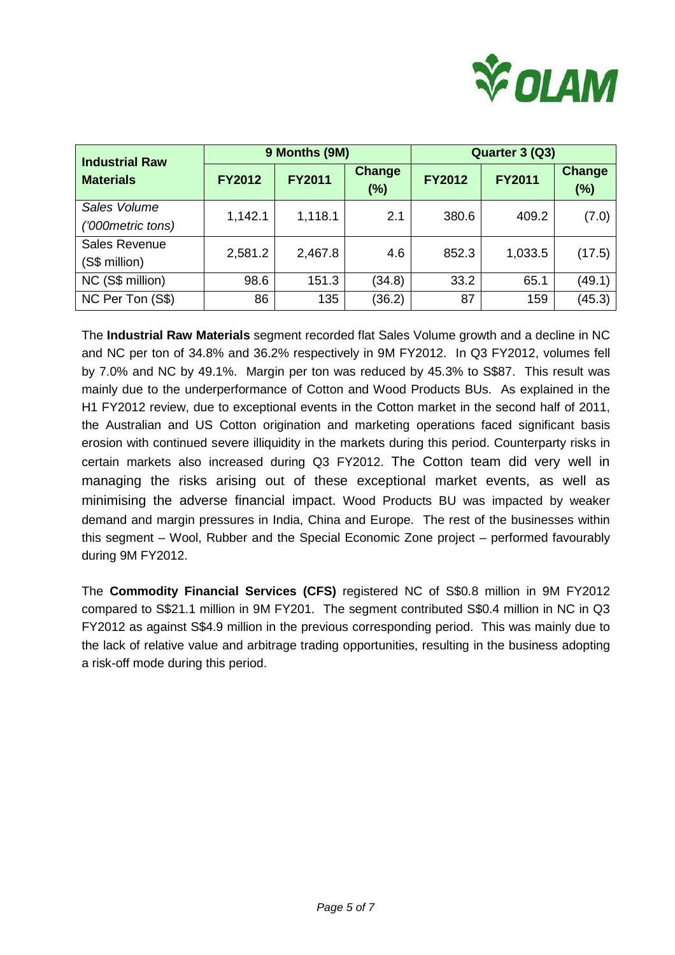

| <b>Industrial Raw</b> | 9 Months (9M) |               |                         | Quarter 3 (Q3) |               |                      |
|-----------------------|---------------|---------------|-------------------------|----------------|---------------|----------------------|
| <b>Materials</b>      | <b>FY2012</b> | <b>FY2011</b> | <b>Change</b><br>$(\%)$ | <b>FY2012</b>  | <b>FY2011</b> | <b>Change</b><br>(%) |
| Sales Volume          | 1,142.1       | 1,118.1       | 2.1                     | 380.6          | 409.2         | (7.0)                |
| ('000 metric tons)    |               |               |                         |                |               |                      |
| Sales Revenue         | 2,581.2       | 2,467.8       | 4.6                     | 852.3          | 1,033.5       | (17.5)               |
| (S\$ million)         |               |               |                         |                |               |                      |
| NC (S\$ million)      | 98.6          | 151.3         | (34.8)                  | 33.2           | 65.1          | (49.1)               |
| NC Per Ton (S\$)      | 86            | 135           | (36.2)                  | 87             | 159           | (45.3)               |

The **Industrial Raw Materials** segment recorded flat Sales Volume growth and a decline in NC and NC per ton of 34.8% and 36.2% respectively in 9M FY2012. In Q3 FY2012, volumes fell by 7.0% and NC by 49.1%. Margin per ton was reduced by 45.3% to S\$87. This result was mainly due to the underperformance of Cotton and Wood Products BUs. As explained in the H1 FY2012 review, due to exceptional events in the Cotton market in the second half of 2011, the Australian and US Cotton origination and marketing operations faced significant basis erosion with continued severe illiquidity in the markets during this period. Counterparty risks in certain markets also increased during Q3 FY2012. The Cotton team did very well in managing the risks arising out of these exceptional market events, as well as minimising the adverse financial impact. Wood Products BU was impacted by weaker demand and margin pressures in India, China and Europe. The rest of the businesses within this segment – Wool, Rubber and the Special Economic Zone project – performed favourably during 9M FY2012.

The **Commodity Financial Services (CFS)** registered NC of S\$0.8 million in 9M FY2012 compared to S\$21.1 million in 9M FY201. The segment contributed S\$0.4 million in NC in Q3 FY2012 as against S\$4.9 million in the previous corresponding period. This was mainly due to the lack of relative value and arbitrage trading opportunities, resulting in the business adopting a risk-off mode during this period.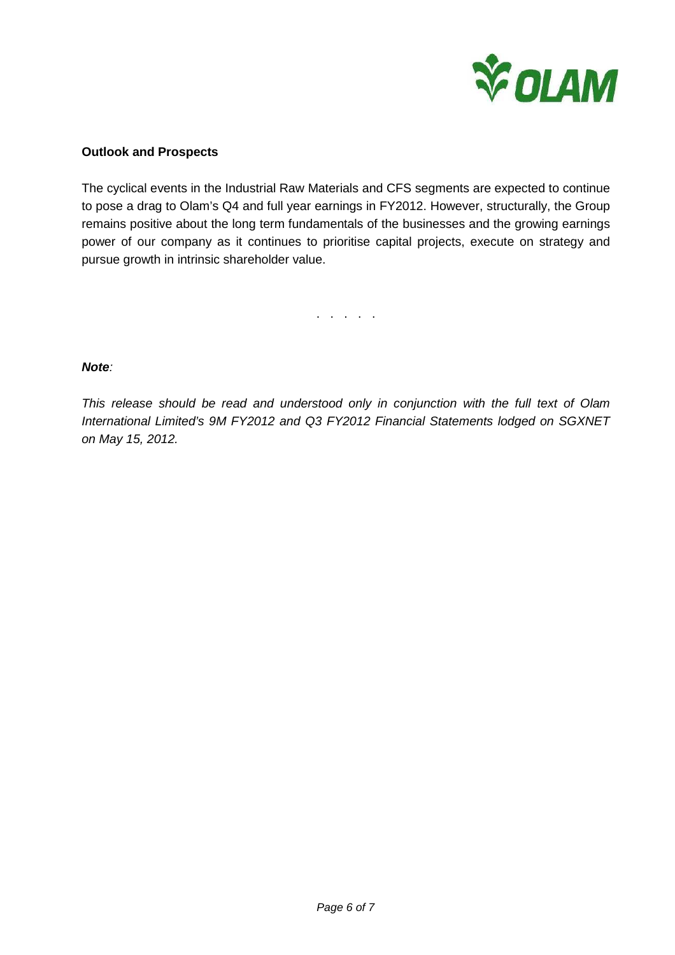

## **Outlook and Prospects**

The cyclical events in the Industrial Raw Materials and CFS segments are expected to continue to pose a drag to Olam's Q4 and full year earnings in FY2012. However, structurally, the Group remains positive about the long term fundamentals of the businesses and the growing earnings power of our company as it continues to prioritise capital projects, execute on strategy and pursue growth in intrinsic shareholder value.

. . . . .

# **Note**:

This release should be read and understood only in conjunction with the full text of Olam International Limited's 9M FY2012 and Q3 FY2012 Financial Statements lodged on SGXNET on May 15, 2012.